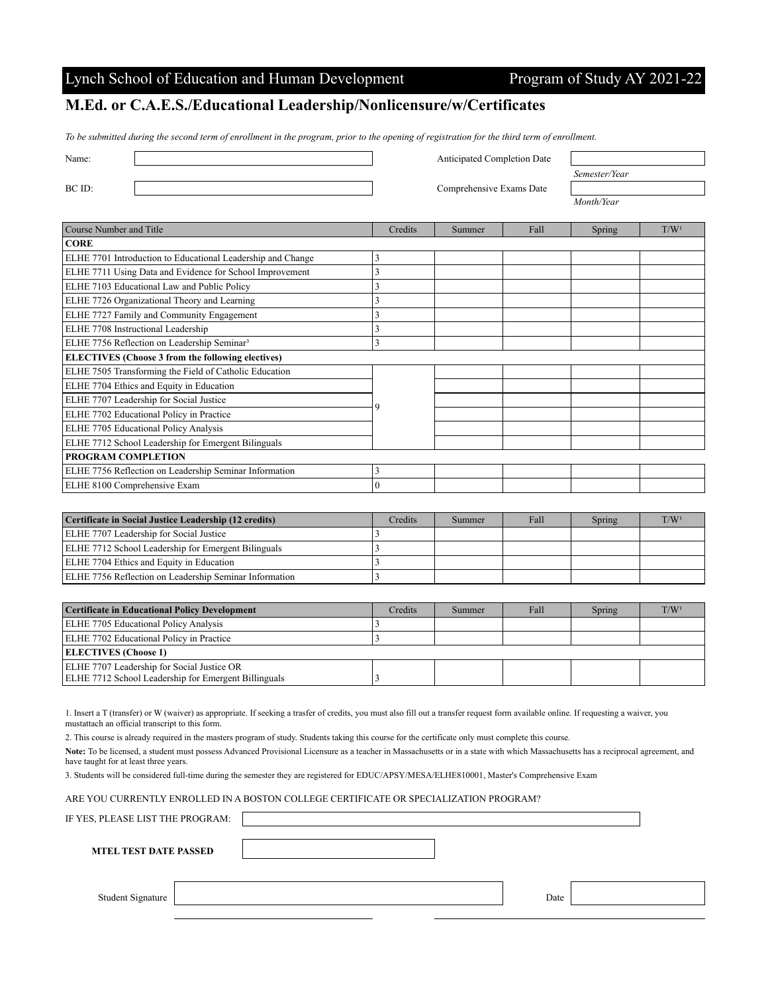## Lynch School of Education and Human Development Program of Study AY 2021-22

## **M.Ed. or C.A.E.S./Educational Leadership/Nonlicensure/w/Certificates**

*To be submitted during the second term of enrollment in the program, prior to the opening of registration for the third term of enrollment.*

| Name:                                                       |  | <b>Anticipated Completion Date</b> |        |      |               |                  |
|-------------------------------------------------------------|--|------------------------------------|--------|------|---------------|------------------|
|                                                             |  |                                    |        |      | Semester/Year |                  |
| BC ID:                                                      |  | Comprehensive Exams Date           |        |      |               |                  |
|                                                             |  |                                    |        |      | Month/Year    |                  |
|                                                             |  |                                    |        |      |               |                  |
| Course Number and Title                                     |  | Credits                            | Summer | Fall | Spring        | T/W <sup>1</sup> |
| <b>CORE</b>                                                 |  |                                    |        |      |               |                  |
| ELHE 7701 Introduction to Educational Leadership and Change |  |                                    |        |      |               |                  |
| $\Gamma$                                                    |  |                                    |        |      |               |                  |

| ELHE 7711 Using Data and Evidence for School Improvement |  |  |  |  |  |  |  |
|----------------------------------------------------------|--|--|--|--|--|--|--|
| ELHE 7103 Educational Law and Public Policy              |  |  |  |  |  |  |  |
| ELHE 7726 Organizational Theory and Learning             |  |  |  |  |  |  |  |
| ELHE 7727 Family and Community Engagement                |  |  |  |  |  |  |  |
| ELHE 7708 Instructional Leadership                       |  |  |  |  |  |  |  |
| ELHE 7756 Reflection on Leadership Seminar <sup>3</sup>  |  |  |  |  |  |  |  |
| <b>ELECTIVES</b> (Choose 3 from the following electives) |  |  |  |  |  |  |  |
| ELHE 7505 Transforming the Field of Catholic Education   |  |  |  |  |  |  |  |
| ELHE 7704 Ethics and Equity in Education                 |  |  |  |  |  |  |  |
| ELHE 7707 Leadership for Social Justice                  |  |  |  |  |  |  |  |
| ELHE 7702 Educational Policy in Practice                 |  |  |  |  |  |  |  |
| ELHE 7705 Educational Policy Analysis                    |  |  |  |  |  |  |  |
| ELHE 7712 School Leadership for Emergent Bilinguals      |  |  |  |  |  |  |  |
| PROGRAM COMPLETION                                       |  |  |  |  |  |  |  |
| ELHE 7756 Reflection on Leadership Seminar Information   |  |  |  |  |  |  |  |
| ELHE 8100 Comprehensive Exam                             |  |  |  |  |  |  |  |

| Certificate in Social Justice Leadership (12 credits)      | Credits | Summer | Fall | Spring | T/W <sup>1</sup> |
|------------------------------------------------------------|---------|--------|------|--------|------------------|
| ELHE 7707 Leadership for Social Justice                    |         |        |      |        |                  |
| <b>ELHE 7712 School Leadership for Emergent Bilinguals</b> |         |        |      |        |                  |
| <b>ELHE 7704 Ethics and Equity in Education</b>            |         |        |      |        |                  |
| ELHE 7756 Reflection on Leadership Seminar Information     |         |        |      |        |                  |

| <b>Certificate in Educational Policy Development</b> | Credits | Summer | Fall | Spring | T/W <sup>1</sup> |  |  |
|------------------------------------------------------|---------|--------|------|--------|------------------|--|--|
| <b>ELHE 7705 Educational Policy Analysis</b>         |         |        |      |        |                  |  |  |
| <b>ELHE 7702 Educational Policy in Practice</b>      |         |        |      |        |                  |  |  |
| <b>ELECTIVES</b> (Choose 1)                          |         |        |      |        |                  |  |  |
| ELHE 7707 Leadership for Social Justice OR           |         |        |      |        |                  |  |  |
| ELHE 7712 School Leadership for Emergent Billinguals |         |        |      |        |                  |  |  |

1. Insert a T (transfer) or W (waiver) as appropriate. If seeking a trasfer of credits, you must also fill out a transfer request form available online. If requesting a waiver, you mustattach an official transcript to this form.

2. This course is already required in the masters program of study. Students taking this course for the certificate only must complete this course.

**Note:** To be licensed, a student must possess Advanced Provisional Licensure as a teacher in Massachusetts or in a state with which Massachusetts has a reciprocal agreement, and have taught for at least three years.

3. Students will be considered full-time during the semester they are registered for EDUC/APSY/MESA/ELHE810001, Master's Comprehensive Exam

ARE YOU CURRENTLY ENROLLED IN A BOSTON COLLEGE CERTIFICATE OR SPECIALIZATION PROGRAM?

IF YES, PLEASE LIST THE PROGRAM:

**MTEL TEST DATE PASSED**

Student Signature Date Date of the United States of the United States of the United States of the United States of the United States of the United States of the United States of the United States of the United States of th